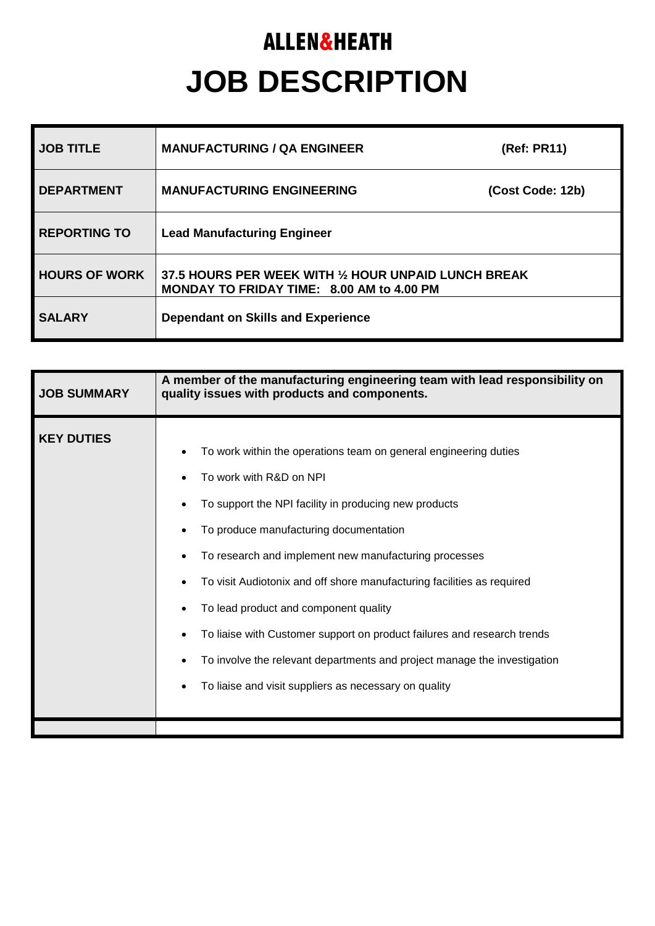## **ALLEN&HEATH JOB DESCRIPTION**

| <b>JOB TITLE</b>     | <b>MANUFACTURING / QA ENGINEER</b>                                                                | (Ref: PR11)      |
|----------------------|---------------------------------------------------------------------------------------------------|------------------|
| <b>DEPARTMENT</b>    | <b>MANUFACTURING ENGINEERING</b>                                                                  | (Cost Code: 12b) |
| <b>REPORTING TO</b>  | <b>Lead Manufacturing Engineer</b>                                                                |                  |
| <b>HOURS OF WORK</b> | 37.5 HOURS PER WEEK WITH 1/2 HOUR UNPAID LUNCH BREAK<br>MONDAY TO FRIDAY TIME: 8.00 AM to 4.00 PM |                  |
| <b>SALARY</b>        | Dependant on Skills and Experience                                                                |                  |

| <b>JOB SUMMARY</b> | A member of the manufacturing engineering team with lead responsibility on<br>quality issues with products and components.                                                                                                                                                                                                                                                                                                                                                                                                                                                                 |  |
|--------------------|--------------------------------------------------------------------------------------------------------------------------------------------------------------------------------------------------------------------------------------------------------------------------------------------------------------------------------------------------------------------------------------------------------------------------------------------------------------------------------------------------------------------------------------------------------------------------------------------|--|
| <b>KEY DUTIES</b>  | To work within the operations team on general engineering duties<br>To work with R&D on NPI<br>To support the NPI facility in producing new products<br>To produce manufacturing documentation<br>To research and implement new manufacturing processes<br>To visit Audiotonix and off shore manufacturing facilities as required<br>To lead product and component quality<br>To liaise with Customer support on product failures and research trends<br>To involve the relevant departments and project manage the investigation<br>To liaise and visit suppliers as necessary on quality |  |
|                    |                                                                                                                                                                                                                                                                                                                                                                                                                                                                                                                                                                                            |  |